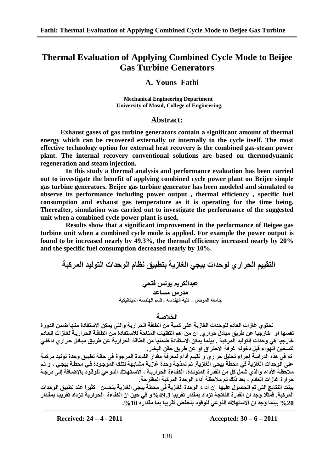# **Thermal Evaluation of Applying Combined Cycle Mode to Beijee Gas Turbine Generators**

## **A. Youns Fathi**

 **Mechanical Engineering Department University of Mosul, College of Engineering,**

## **Abstract:**

**Exhaust gases of gas turbine generators contain a significant amount of thermal energy which can be recovered externally or internally to the cycle itself. The most effective technology option for external heat recovery is the combined gas-steam power plant. The internal recovery conventional solutions are based on thermodynamic regeneration and steam injection.**

**In this study a thermal analysis and performance evaluation has been carried out to investigate the benefit of applying combined cycle power plant on Beijee simple gas turbine generators. Beijee gas turbine generator has been modeled and simulated to observe its performance including power output , thermal efficiency , specific fuel consumption and exhaust gas temperature as it is operating for the time being. Thereafter, simulation was carried out to investigate the performance of the suggested unit when a combined cycle power plant is used.**

**Results show that a significant improvement in the performance of Beigee gas turbine unit when a combined cycle mode is applied. For example the power output is found to be increased nearly by 49.3%, the thermal efficiency increased nearly by 20% and the specific fuel consumption decreased nearly by 10%.** 

التقييم الحر ار ي لو حدات بيجي الغاز ية بتطبيق نظام الو حدات التو ليد المر كبة

عبدالكريم يونس فتح*ي* **ِذسط ِغاعذ** جامعة الموصل ــ كلية الـهندسة ـ قسم الـهندسة الميكانيكية

### **اٌخالصت**

تحتوى غازات العادم للوحدات الغازية على كمية من الطاقة الحرارية والت*ى* يمكن الاستفادة منها ضمن الدورة نفسها او خارجيا عن طريق مبادل حراري. ان من اهم التقنيات المتاحة للاستفادة من الطاقـة الحراريـة لغازات العادم خارجيا هي وحدات التوليد المركبة . بينما يمكن الاستفادة ضمنيا من الطاقة الحرارية عن طريق مبـادل حرار داخلـى لت*س*خين الـهواء قبل دخولـه غرفة الاحتراق او عن طريق حقن البخار.

تم في هذه الدراسة إجراء تحليل حراري و تقييم أداء لمعرفة مقدار الفائدة المرجوة في حالة تطبيق وحدة توليد مركبـة علَى الوحدات الغازية ف*ي* محطة بيحى الغازية. تم نمذجة وحدة غازية مشابهة لتلك الموجودة فـي محطـة بيجـي ، و تـم ملاحظة الأداء والذي شمل كل من القدرة المتولدة، الكفـاءة الحراريــة ، الاستـهلاك النـوعى للوقود بالإضـافة إلـى درجـة حر ار ة غاز ات العادم<sup>ّ</sup> ، بعد ذلك تم ملاحظة أداع الوحدة المر كبة المقتر حة.

بينت النتائج التي تم الحصول عليها ۖ إن أداء الوحدة الغازية في محطة بيجي الغازية يتحسن كثير ا عند تطبيق الوحدات المركبة. فمثلا وجد ان القدرة الناتجة تزداد بمقدار تقريبا 49.3%و في حين ان الكفاءة الحرارية تزداد تقريبا بمقدار **%20 بٍّٕا ٚجذ اْ االعخٙالن إٌٛعً ٌٍٛلٛد ٌٕخفض حمشٌبا بّا ِمذاسٖ .%10**

**Received: 24 – 4 - 2011 Accepted: 30 – 6 – 2011**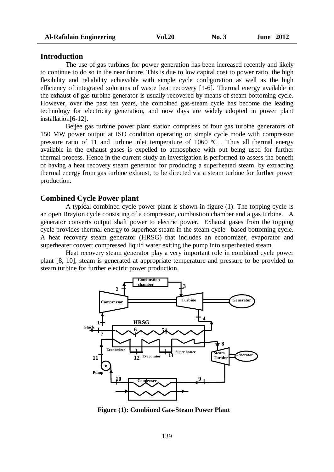#### **Introduction**

The use of gas turbines for power generation has been increased recently and likely to continue to do so in the near future. This is due to low capital cost to power ratio, the high flexibility and reliability achievable with simple cycle configuration as well as the high efficiency of integrated solutions of waste heat recovery [1-6]. Thermal energy available in the exhaust of gas turbine generator is usually recovered by means of steam bottoming cycle. However, over the past ten years, the combined gas-steam cycle has become the leading technology for electricity generation, and now days are widely adopted in power plant installation[6-12].

Beijee gas turbine power plant station comprises of four gas turbine generators of 150 MW power output at ISO condition operating on simple cycle mode with compressor pressure ratio of 11 and turbine inlet temperature of 1060  $^{\circ}$ C. Thus all thermal energy available in the exhaust gases is expelled to atmosphere with out being used for further thermal process. Hence in the current study an investigation is performed to assess the benefit of having a heat recovery steam generator for producing a superheated steam, by extracting thermal energy from gas turbine exhaust, to be directed via a steam turbine for further power production.

#### **Combined Cycle Power plant**

A typical combined cycle power plant is shown in figure (1). The topping cycle is an open Brayton cycle consisting of a compressor, combustion chamber and a gas turbine. A generator converts output shaft power to electric power. Exhaust gases from the topping cycle provides thermal energy to superheat steam in the steam cycle –based bottoming cycle. A heat recovery steam generator (HRSG) that includes an economizer, evaporator and superheater convert compressed liquid water exiting the pump into superheated steam.

Heat recovery steam generator play a very important role in combined cycle power plant [8, 10], steam is generated at appropriate temperature and pressure to be provided to steam turbine for further electric power production.



**Figure (1): Combined Gas-Steam Power Plant**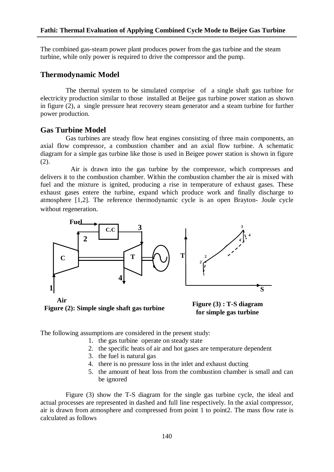The combined gas-steam power plant produces power from the gas turbine and the steam turbine, while only power is required to drive the compressor and the pump.

## **Thermodynamic Model**

The thermal system to be simulated comprise of a single shaft gas turbine for electricity production similar to those installed at Beijee gas turbine power station as shown in figure (2), a single pressure heat recovery steam generator and a steam turbine for further power production.

## **Gas Turbine Model**

Gas turbines are steady flow heat engines consisting of three main components, an axial flow compressor, a combustion chamber and an axial flow turbine. A schematic diagram for a simple gas turbine like those is used in Beigee power station is shown in figure (2).

Air is drawn into the gas turbine by the compressor, which compresses and delivers it to the combustion chamber. Within the combustion chamber the air is mixed with fuel and the mixture is ignited, producing a rise in temperature of exhaust gases. These exhaust gases entere the turbine, expand which produce work and finally discharge to atmosphere [1,2]. The reference thermodynamic cycle is an open Brayton- Joule cycle without regeneration.



**Figure (2): Simple single shaft gas turbine**



The following assumptions are considered in the present study:

- 1. the gas turbine operate on steady state
- 2. the specific heats of air and hot gases are temperature dependent
- 3. the fuel is natural gas
- 4. there is no pressure loss in the inlet and exhaust ducting
- 5. the amount of heat loss from the combustion chamber is small and can be ignored

Figure (3) show the T-S diagram for the single gas turbine cycle, the ideal and actual processes are represented in dashed and full line respectively. In the axial compressor, air is drawn from atmosphere and compressed from point 1 to point2. The mass flow rate is calculated as follows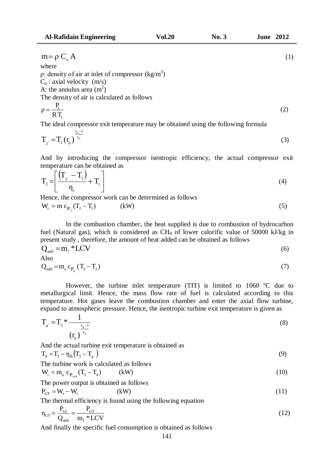$$
m = \rho C_a A
$$
  
where  
 $\rho$ : density of air at inlet of compressor (kg/m<sup>3</sup>)

 $C_a$ : axial velocity  $(m/s)$ 

A: the annulus area  $(m^2)$ 

The density of air is calculated as follows

$$
\rho = \frac{P_1}{RT_1} \tag{2}
$$

The ideal compressor exit temperature may be obtained using the following formula

$$
T_{2'} = T_1 \left( r_p \right)^{\frac{\gamma_a - 1}{\gamma_a}}
$$
 (3)

And by introducing the compressor isentropic efficiency, the actual compressor exit temperature can be obtained as

$$
T_2 = \left[ \frac{\left( T_{2'} - T_1 \right)}{\eta_c} + T_1 \right] \tag{4}
$$

Hence, the compressor work can be determined as follows

$$
W_c = m c_{P_a}(T_2 - T_1) \tag{8W}
$$

In the combustion chamber, the heat supplied is due to combustion of hydrocarbon fuel (Natural gas), which is considered as  $CH_4$  of lower calorific value of 50000 kJ/kg in present study , therefore, the amount of heat added can be obtained as follows

$$
Q_{\text{add}} = m_f * LCV \tag{6}
$$

Also

$$
Q_{\text{add}} = m_{a} c_{P_{g}} (T_{3} - T_{2})
$$
\n
$$
\tag{7}
$$

However, the turbine inlet temperature (TIT) is limited to 1060 ºC due to metallurgical limit. Hence, the mass flow rate of fuel is calculated according to this temperature. Hot gases leave the combustion chamber and enter the axial flow turbine, expand to atmospheric pressure. Hence, the isentropic turbine exit temperature is given as

$$
T_{4'} = T_3 * \frac{1}{(r_p)^{\frac{\gamma_g - 1}{\gamma_g}}} \tag{8}
$$

And the actual turbine exit temperature is obtained as

$$
T_4 = T_3 - \eta_{\text{tb}} \left( T_3 - T_{4'} \right) \tag{9}
$$

The turbine work is calculated as follows

$$
W_t = m_a c_{P_{exh}}(T_3 - T_4)
$$
 (kW) (10)

The power output is obtained as follows

$$
P_{GT} = W_t - W_c
$$
 (kW) (11)

The thermal efficiency is found using the following equation

$$
\eta_{GT} = \frac{P_{Gt}}{Q_{\text{add}}} = \frac{P_{GT}}{m_f * LCV}
$$
(12)

And finally the specific fuel consumption is obtained as follows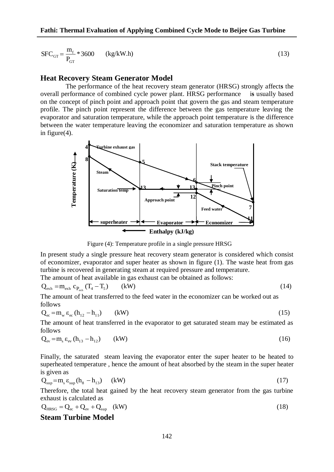$$
SFC_{GT} = \frac{m_f}{P_{GT}} * 3600 \qquad (kg/kW.h)
$$
 (13)

#### **Heat Recovery Steam Generator Model**

The performance of the heat recovery steam generator (HRSG) strongly affect**s** the overall performance of combined cycle power plant. HRSG performance i**s** usually based on the concept of pinch point and approach point that govern the gas and steam temperature profile. The pinch point represent the difference between the gas temperature leaving the evaporator and saturation temperature, while the approach point temperature is the difference between the water temperature leaving the economizer and saturation temperature as shown in figure(4).



Figure (4): Temperature profile in a single pressure HRSG

In present study a single pressure heat recovery steam generator is considered which consist of economizer, evaporator and super heater as shown in figure (1). The waste heat from gas turbine is recovered in generating steam at required pressure and temperature.

The amount of heat available in gas exhaust can be obtained as follows:

$$
Q_{exh} = m_{exh} c_{P_{exh}} (T_4 - T_5) \qquad (kW)
$$
 (14)

The amount of heat transferred to the feed water in the economizer can be worked out as follows

$$
Q_{ec} = m_w \varepsilon_{ec} (h_{12} - h_{11}) \qquad (kW)
$$
\n
$$
(15)
$$

The amount of heat transferred in the evaporator to get saturated steam may be estimated as follows

$$
Q_{ev} = m_s \varepsilon_{ev} (h_{13} - h_{12}) \qquad (kW)
$$
 (16)

Finally, the saturated steam leaving the evaporator enter the super heater to be heated to superheated temperature , hence the amount of heat absorbed by the steam in the super heater is given as

$$
Q_{\rm sup} = m_s \varepsilon_{\rm sup} (h_s - h_{13}) \qquad (kW)
$$
 (17)

Therefore, the total heat gained by the heat recovery steam generator from the gas turbine exhaust is calculated as

$$
Q_{H R SG} = Q_{ec} + Q_{ev} + Q_{sup} \quad (kW)
$$
\n(18)

### **Steam Turbine Model**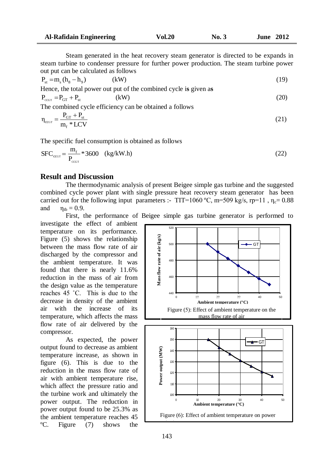Steam generated in the heat recovery steam generator is directed to be expands in steam turbine to condenser pressure for further power production. The steam turbine power out put can be calculated as follows

$$
P_{st} = m_s (h_s - h_9) \tag{19}
$$

Hence, the total power out put of the combined cycle i**s** given a**s**  $P_{\text{ccst}} = P_{\text{GT}} + P_{\text{st}}$  $(kW)$  (20)

The combined cycle efficiency can be obtained a follows

$$
\eta_{cc\sigma\tau} = \frac{P_{GT} + P_{st}}{m_f * LCV}
$$
(21)

The specific fuel consumption is obtained as follows

$$
SFC_{\text{ccot}} = \frac{m_f}{P_{\text{ccot}}} * 3600 \quad (kg/kW.h)
$$
 (22)

## **Result and Discussion**

The thermodynamic analysis of present Beigee simple gas turbine and the suggested combined cycle power plant with single pressure heat recovery steam generator has been carried out for the following input parameters :- TIT=1060 °C, m=509 kg/s, rp=11,  $\eta_c$ = 0.88 and  $\eta_{\text{th}} = 0.9$ .

First, the performance of Beigee simple gas turbine generator is performed to investigate the effect of ambient

temperature on its performance. Figure (5) shows the relationship between the mass flow rate of air discharged by the compressor and the ambient temperature. It was found that there is nearly 11.6% reduction in the mass of air from the design value as the temperature reaches 45 ˚C. This is due to the decrease in density of the ambient air with the increase of its temperature, which affects the mass flow rate of air delivered by the compressor.

As expected, the power output found to decrease as ambient temperature increase, as shown in figure (6). This is due to the reduction in the mass flow rate of air with ambient temperature rise, which affect the pressure ratio and the turbine work and ultimately the power output. The reduction in power output found to be 25.3% as the ambient temperature reaches 45 ºC. Figure (7) shows the

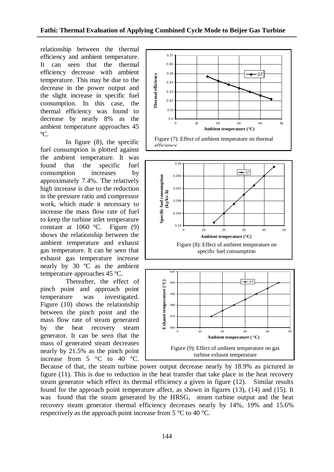relationship between the thermal efficiency and ambient temperature. It can seen that the thermal efficiency decrease with ambient temperature. This may be due to the decrease in the power output and the slight increase in specific fuel consumption. In this case, the thermal efficiency was found to decrease by nearly 8% as the ambient temperature approaches 45 ºC.

In figure (8), the specific fuel consumption is plotted against the ambient temperature. It was found that the specific fuel consumption increases by approximately 7.4%. The relatively high increase is due to the reduction in the pressure ratio and compressor work, which made it necessary to increase the mass flow rate of fuel to keep the turbine inlet temperature constant at 1060 ºC. Figure (9) shows the relationship between the ambient temperature and exhaust gas temperature. It can be seen that exhaust gas temperature increase nearly by 30 ºC as the ambient temperature approaches 45 ºC.

Thereafter, the effect of pinch point and approach point temperature was investigated. Figure (10) shows the relationship between the pinch point and the mass flow rate of steam generated by the heat recovery steam generator. It can be seen that the mass of generated steam decreases nearly by 21.5% as the pinch point increase from 5 °C to 40 °C.



0 10 20 30 40 50

**Ambient temperature ( °C)**

Figure (9): Effect of ambient temperature on gas turbine exhaust temperature

Because of that, the steam turbine power output decrease nearly by 18.9% as pictured in figure (11). This is due to reduction in the heat transfer that take place in the heat recovery steam generator which effect its thermal efficiency a given in figure (12). Similar results found for the approach point temperature affect, as shown in figures (13), (14) and (15). It was found that the steam generated by the HRSG, steam turbine output and the heat recovery steam generator thermal efficiency decreases nearly by 14%, 19% and 15.6% respectively as the approach point increase from 5 °C to 40 °C.

560

570

580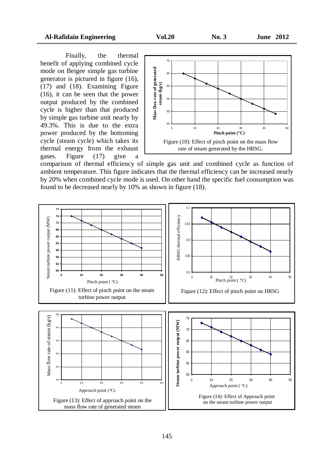Finally, the thermal benefit of applying combined cycle mode on Beigee simple gas turbine generator is pictured in figure (16), (17) and (18). Examining Figure (16), it can be seen that the power output produced by the combined cycle is higher than that produced by simple gas turbine unit nearly by 49.3%. This is due to the extra power produced by the bottoming cycle (steam cycle) which takes its thermal energy from the exhaust gases. Figure (17) give a



comparison of thermal efficiency of simple gas unit and combined cycle as function of ambient temperature. This figure indicates that the thermal efficiency can be increased nearly by 20% when combined cycle mode is used. On other hand the specific fuel consumption was found to be decreased nearly by 10% as shown in figure (18).

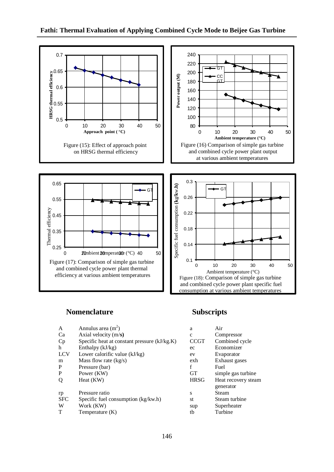

## **Nomenclature Subscripts**

| A          | Annulus area $(m2)$                          | a            | Air                 |
|------------|----------------------------------------------|--------------|---------------------|
| Ca         | Axial velocity $(m/s)$                       | $\mathbf{c}$ | Compressor          |
| Cp         | Specific heat at constant pressure (kJ/kg.K) | <b>CCGT</b>  | Combined cycle      |
| h          | Enthalpy $(kJ/kg)$                           | ec           | Economizer          |
| <b>LCV</b> | Lower calorific value (kJ/kg)                | ev           | Evaporator          |
| m          | Mass flow rate $(kg/s)$                      | exh          | Exhaust gases       |
| P          | Pressure (bar)                               | f            | Fuel                |
| P          | Power (KW)                                   | <b>GT</b>    | simple gas turbine  |
| Q          | Heat (KW)                                    | <b>HRSG</b>  | Heat recovery steam |
|            |                                              |              | generator           |
| rp         | Pressure ratio                               | S            | Steam               |
| <b>SFC</b> | Specific fuel consumption (kg/kw.h)          | st           | Steam turbine       |
| W          | Work (KW)                                    | sup          | Superheater         |
| T          | Temperature (K)                              | tb           | Turbine             |

| а           | Air                 |
|-------------|---------------------|
| $\mathbf c$ | Compressor          |
| CCGT        | Combined cycle      |
| ec          | Economizer          |
| ev          | Evaporator          |
| exh         | Exhaust gases       |
| f           | Fuel                |
| <b>GT</b>   | simple gas turbine  |
| <b>HRSG</b> | Heat recovery steam |
|             | generator           |
| S           | Steam               |
| st          | Steam turbine       |
| sup         | Superheater         |
| th          | Turbine             |
|             |                     |